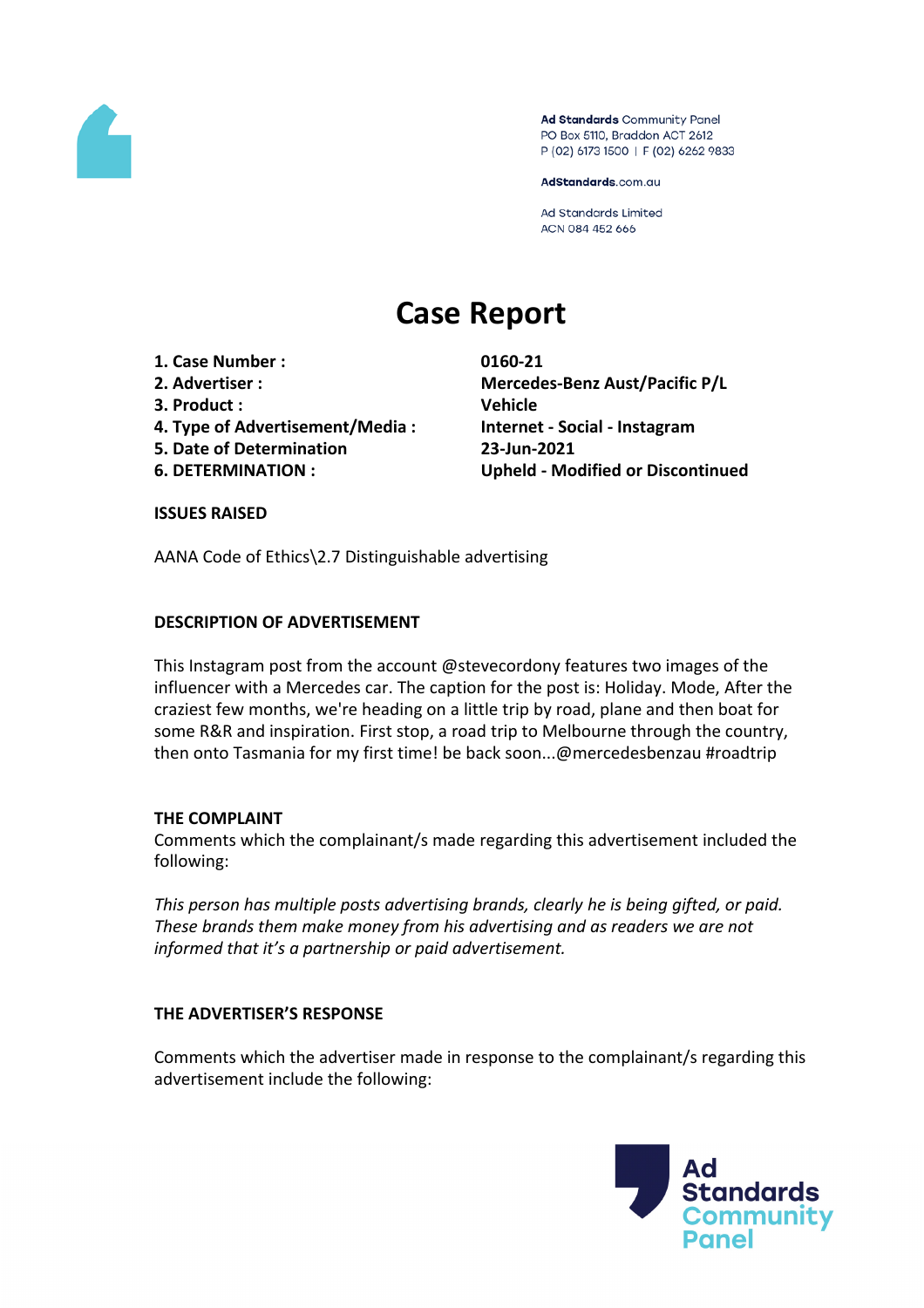

Ad Standards Community Panel PO Box 5110, Braddon ACT 2612 P (02) 6173 1500 | F (02) 6262 9833

AdStandards.com.au

Ad Standards Limited ACN 084 452 666

# **Case Report**

- **1. Case Number : 0160-21**
- 
- **3. Product : Vehicle**
- **4. Type of Advertisement/Media : Internet - Social - Instagram**
- **5. Date of Determination 23-Jun-2021**
- 

**2. Advertiser : Mercedes-Benz Aust/Pacific P/L 6. DETERMINATION : Upheld - Modified or Discontinued**

#### **ISSUES RAISED**

AANA Code of Ethics\2.7 Distinguishable advertising

### **DESCRIPTION OF ADVERTISEMENT**

This Instagram post from the account @stevecordony features two images of the influencer with a Mercedes car. The caption for the post is: Holiday. Mode, After the craziest few months, we're heading on a little trip by road, plane and then boat for some R&R and inspiration. First stop, a road trip to Melbourne through the country, then onto Tasmania for my first time! be back soon...@mercedesbenzau #roadtrip

### **THE COMPLAINT**

Comments which the complainant/s made regarding this advertisement included the following:

*This person has multiple posts advertising brands, clearly he is being gifted, or paid. These brands them make money from his advertising and as readers we are not informed that it's a partnership or paid advertisement.*

### **THE ADVERTISER'S RESPONSE**

Comments which the advertiser made in response to the complainant/s regarding this advertisement include the following:

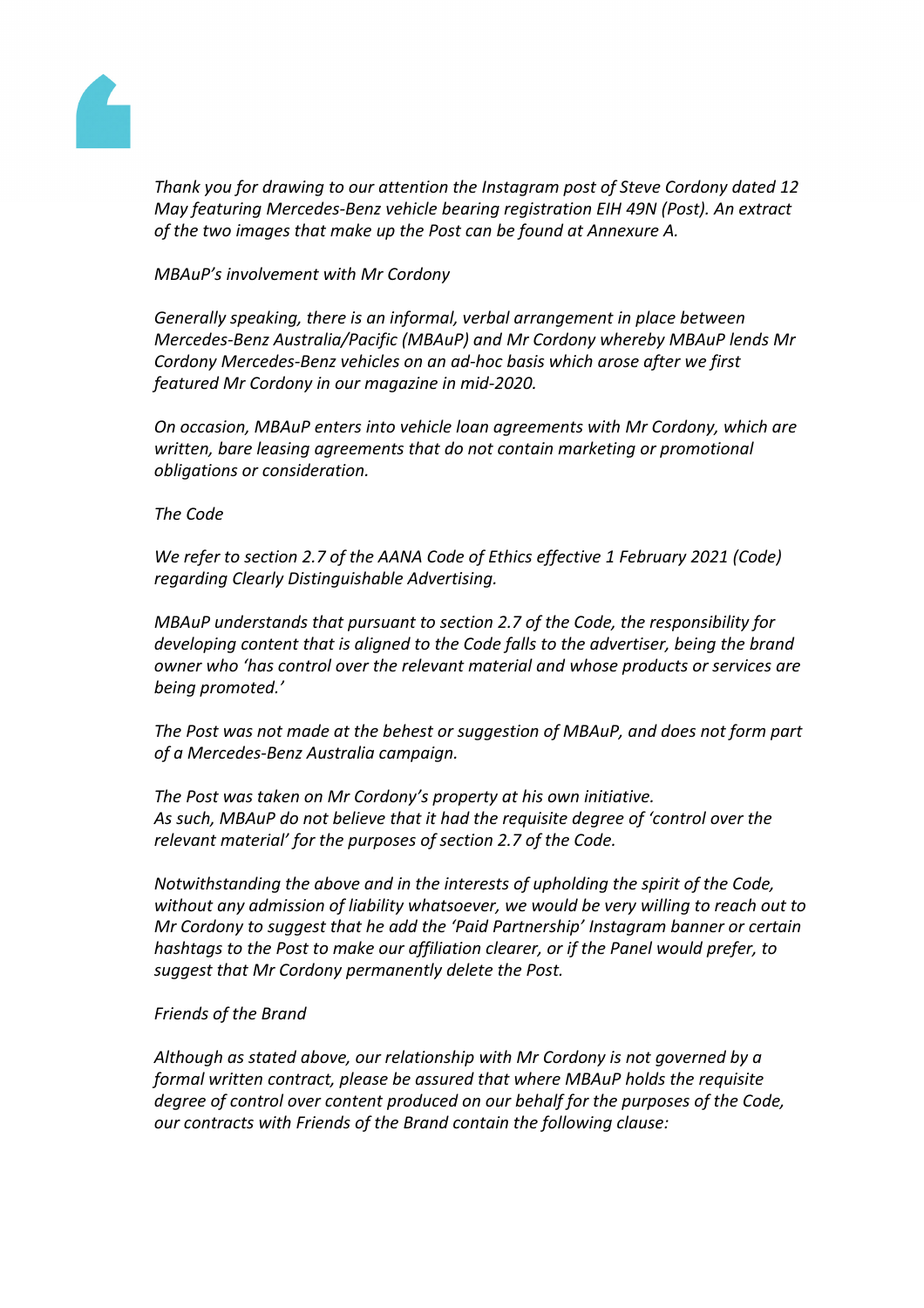

*Thank you for drawing to our attention the Instagram post of Steve Cordony dated 12 May featuring Mercedes-Benz vehicle bearing registration EIH 49N (Post). An extract of the two images that make up the Post can be found at Annexure A.*

*MBAuP's involvement with Mr Cordony*

*Generally speaking, there is an informal, verbal arrangement in place between Mercedes-Benz Australia/Pacific (MBAuP) and Mr Cordony whereby MBAuP lends Mr Cordony Mercedes-Benz vehicles on an ad-hoc basis which arose after we first featured Mr Cordony in our magazine in mid-2020.*

*On occasion, MBAuP enters into vehicle loan agreements with Mr Cordony, which are written, bare leasing agreements that do not contain marketing or promotional obligations or consideration.*

## *The Code*

*We refer to section 2.7 of the AANA Code of Ethics effective 1 February 2021 (Code) regarding Clearly Distinguishable Advertising.*

*MBAuP understands that pursuant to section 2.7 of the Code, the responsibility for developing content that is aligned to the Code falls to the advertiser, being the brand owner who 'has control over the relevant material and whose products or services are being promoted.'*

*The Post was not made at the behest or suggestion of MBAuP, and does not form part of a Mercedes-Benz Australia campaign.*

*The Post was taken on Mr Cordony's property at his own initiative. As such, MBAuP do not believe that it had the requisite degree of 'control over the relevant material' for the purposes of section 2.7 of the Code.*

*Notwithstanding the above and in the interests of upholding the spirit of the Code, without any admission of liability whatsoever, we would be very willing to reach out to Mr Cordony to suggest that he add the 'Paid Partnership' Instagram banner or certain hashtags to the Post to make our affiliation clearer, or if the Panel would prefer, to suggest that Mr Cordony permanently delete the Post.*

### *Friends of the Brand*

*Although as stated above, our relationship with Mr Cordony is not governed by a formal written contract, please be assured that where MBAuP holds the requisite degree of control over content produced on our behalf for the purposes of the Code, our contracts with Friends of the Brand contain the following clause:*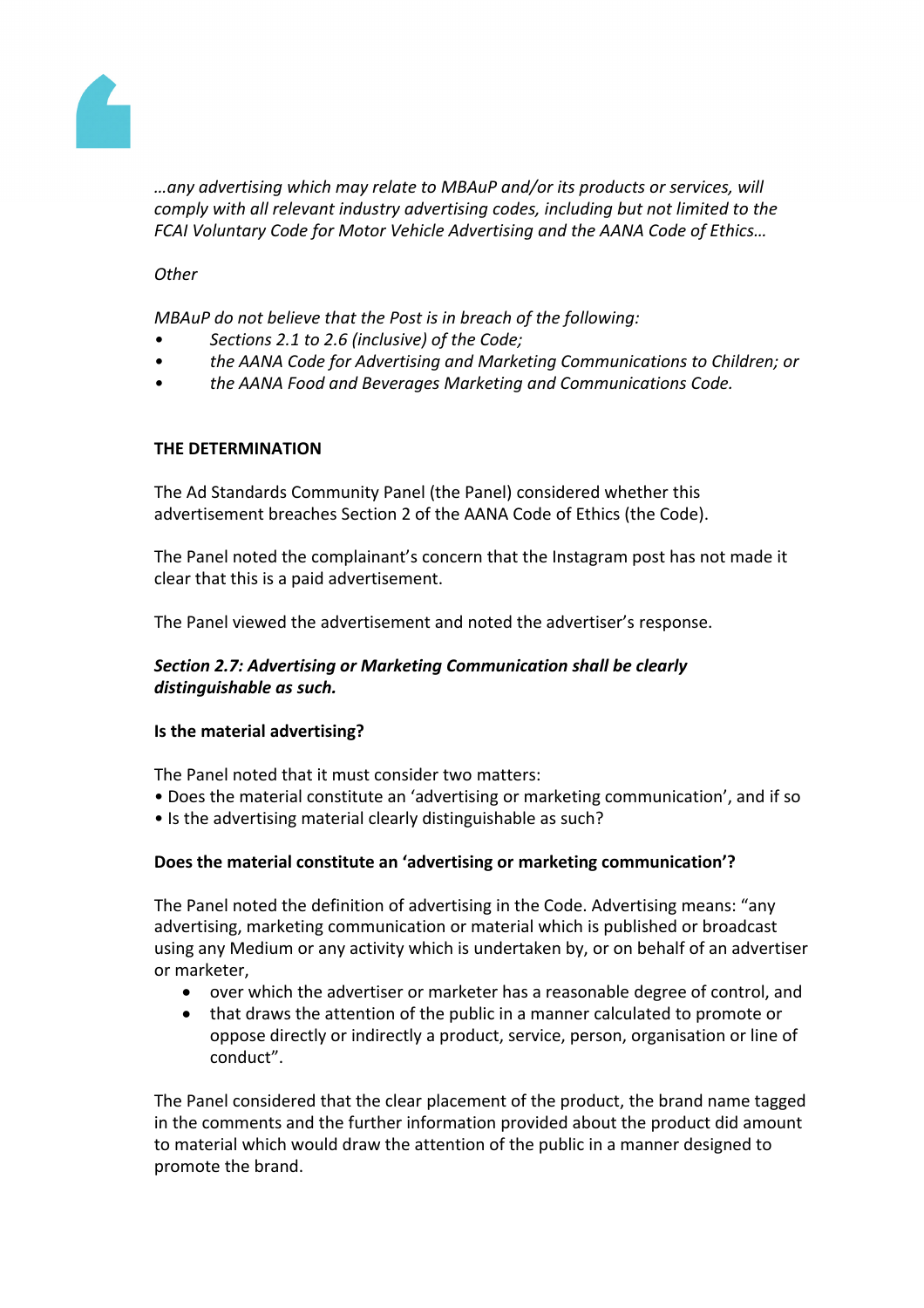

*…any advertising which may relate to MBAuP and/or its products or services, will comply with all relevant industry advertising codes, including but not limited to the FCAI Voluntary Code for Motor Vehicle Advertising and the AANA Code of Ethics…*

*Other*

*MBAuP do not believe that the Post is in breach of the following:*

- *• Sections 2.1 to 2.6 (inclusive) of the Code;*
- *• the AANA Code for Advertising and Marketing Communications to Children; or*
- *• the AANA Food and Beverages Marketing and Communications Code.*

#### **THE DETERMINATION**

The Ad Standards Community Panel (the Panel) considered whether this advertisement breaches Section 2 of the AANA Code of Ethics (the Code).

The Panel noted the complainant's concern that the Instagram post has not made it clear that this is a paid advertisement.

The Panel viewed the advertisement and noted the advertiser's response.

### *Section 2.7: Advertising or Marketing Communication shall be clearly distinguishable as such.*

#### **Is the material advertising?**

The Panel noted that it must consider two matters:

- Does the material constitute an 'advertising or marketing communication', and if so
- Is the advertising material clearly distinguishable as such?

### **Does the material constitute an 'advertising or marketing communication'?**

The Panel noted the definition of advertising in the Code. Advertising means: "any advertising, marketing communication or material which is published or broadcast using any Medium or any activity which is undertaken by, or on behalf of an advertiser or marketer,

- over which the advertiser or marketer has a reasonable degree of control, and
- that draws the attention of the public in a manner calculated to promote or oppose directly or indirectly a product, service, person, organisation or line of conduct".

The Panel considered that the clear placement of the product, the brand name tagged in the comments and the further information provided about the product did amount to material which would draw the attention of the public in a manner designed to promote the brand.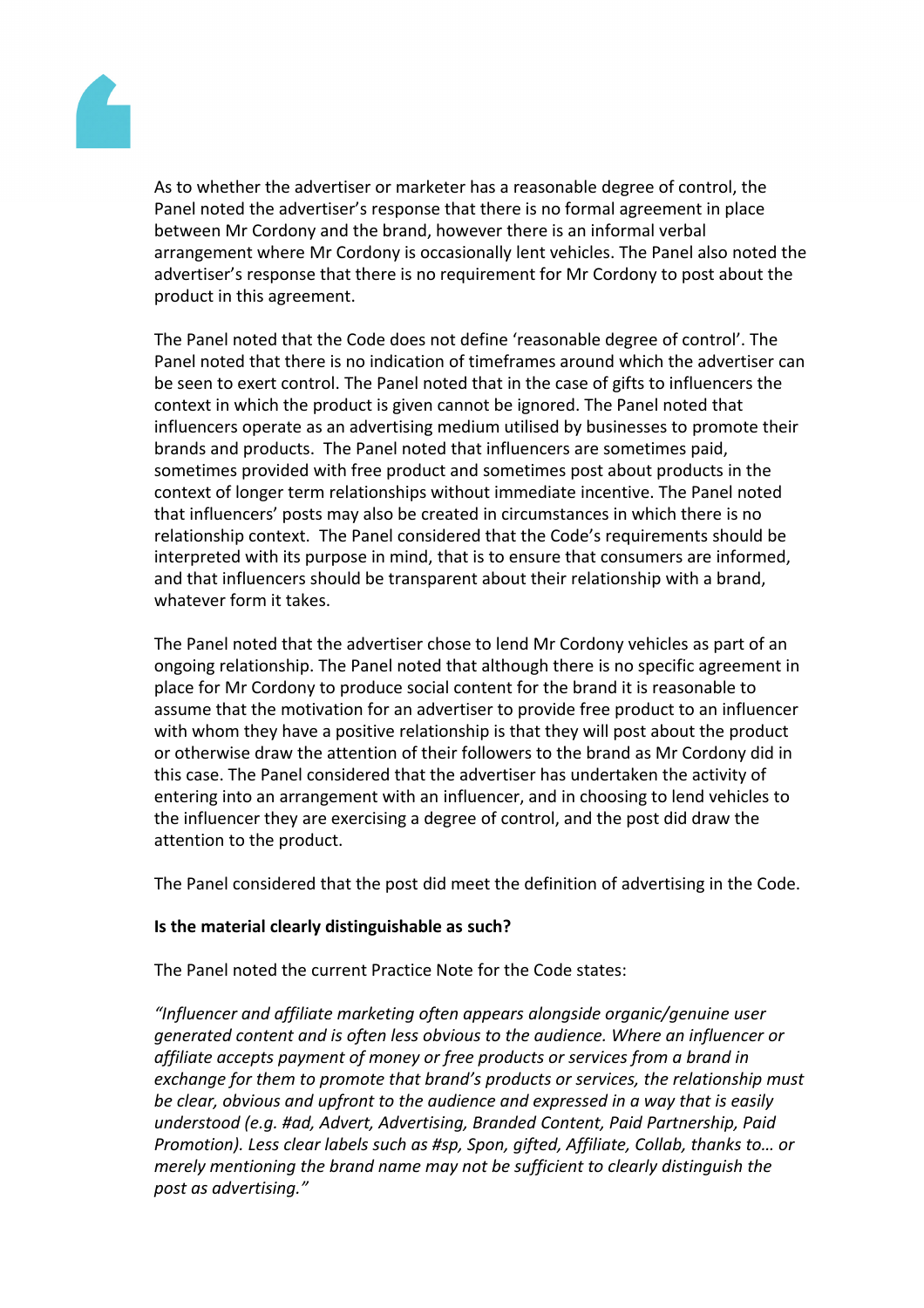

As to whether the advertiser or marketer has a reasonable degree of control, the Panel noted the advertiser's response that there is no formal agreement in place between Mr Cordony and the brand, however there is an informal verbal arrangement where Mr Cordony is occasionally lent vehicles. The Panel also noted the advertiser's response that there is no requirement for Mr Cordony to post about the product in this agreement.

The Panel noted that the Code does not define 'reasonable degree of control'. The Panel noted that there is no indication of timeframes around which the advertiser can be seen to exert control. The Panel noted that in the case of gifts to influencers the context in which the product is given cannot be ignored. The Panel noted that influencers operate as an advertising medium utilised by businesses to promote their brands and products. The Panel noted that influencers are sometimes paid, sometimes provided with free product and sometimes post about products in the context of longer term relationships without immediate incentive. The Panel noted that influencers' posts may also be created in circumstances in which there is no relationship context. The Panel considered that the Code's requirements should be interpreted with its purpose in mind, that is to ensure that consumers are informed, and that influencers should be transparent about their relationship with a brand, whatever form it takes.

The Panel noted that the advertiser chose to lend Mr Cordony vehicles as part of an ongoing relationship. The Panel noted that although there is no specific agreement in place for Mr Cordony to produce social content for the brand it is reasonable to assume that the motivation for an advertiser to provide free product to an influencer with whom they have a positive relationship is that they will post about the product or otherwise draw the attention of their followers to the brand as Mr Cordony did in this case. The Panel considered that the advertiser has undertaken the activity of entering into an arrangement with an influencer, and in choosing to lend vehicles to the influencer they are exercising a degree of control, and the post did draw the attention to the product.

The Panel considered that the post did meet the definition of advertising in the Code.

### **Is the material clearly distinguishable as such?**

The Panel noted the current Practice Note for the Code states:

*"Influencer and affiliate marketing often appears alongside organic/genuine user generated content and is often less obvious to the audience. Where an influencer or affiliate accepts payment of money or free products or services from a brand in exchange for them to promote that brand's products or services, the relationship must be clear, obvious and upfront to the audience and expressed in a way that is easily understood (e.g. #ad, Advert, Advertising, Branded Content, Paid Partnership, Paid Promotion). Less clear labels such as #sp, Spon, gifted, Affiliate, Collab, thanks to… or merely mentioning the brand name may not be sufficient to clearly distinguish the post as advertising."*